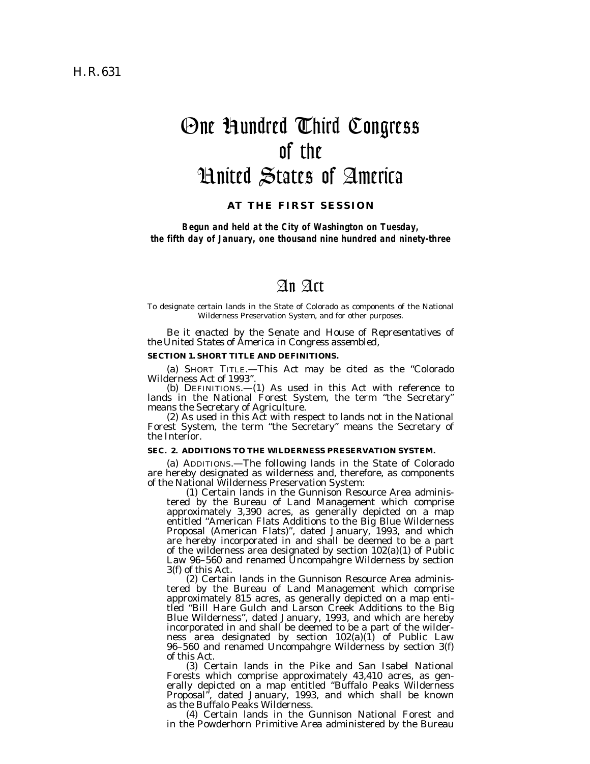# One Hundred Third Congress of the United States of America

**AT THE FIRST SESSION** 

*Begun and held at the City of Washington on Tuesday, the fifth day of January, one thousand nine hundred and ninety-three* 

# An Act

To designate certain lands in the State of Colorado as components of the National Wilderness Preservation System, and for other purposes.

*Be it enacted by the Senate and House of Representatives of the United States of America in Congress assembled,* 

#### **SECTION 1. SHORT TITLE AND DEFINITIONS.**

(a) SHORT TITLE.—This Act may be cited as the ''Colorado Wilderness Act of 1993''.

(b) DEFINITIONS.—(1) As used in this Act with reference to lands in the National Forest System, the term ''the Secretary''

means the Secretary of Agriculture. (2) As used in this Act with respect to lands not in the National Forest System, the term ''the Secretary'' means the Secretary of the Interior.

#### **SEC. 2. ADDITIONS TO THE WILDERNESS PRESERVATION SYSTEM.**

(a) ADDITIONS.—The following lands in the State of Colorado are hereby designated as wilderness and, therefore, as components

of the National Wilderness Preservation System: (1) Certain lands in the Gunnison Resource Area administered by the Bureau of Land Management which comprise approximately 3,390 acres, as generally depicted on a map entitled ''American Flats Additions to the Big Blue Wilderness Proposal (American Flats)'', dated January, 1993, and which are hereby incorporated in and shall be deemed to be a part of the wilderness area designated by section 102(a)(1) of Public Law 96–560 and renamed Uncompahgre Wilderness by section 3(f) of this Act.

(2) Certain lands in the Gunnison Resource Area administered by the Bureau of Land Management which comprise approximately 815 acres, as generally depicted on a map entitled ''Bill Hare Gulch and Larson Creek Additions to the Big Blue Wilderness'', dated January, 1993, and which are hereby incorporated in and shall be deemed to be a part of the wilderness area designated by section  $102(a)(1)$  of Public Law 96–560 and renamed Uncompahgre Wilderness by section 3(f) of this Act.

(3) Certain lands in the Pike and San Isabel National Forests which comprise approximately 43,410 acres, as generally depicted on a map entitled ''Buffalo Peaks Wilderness Proposal'', dated January, 1993, and which shall be known as the Buffalo Peaks Wilderness.

(4) Certain lands in the Gunnison National Forest and in the Powderhorn Primitive Area administered by the Bureau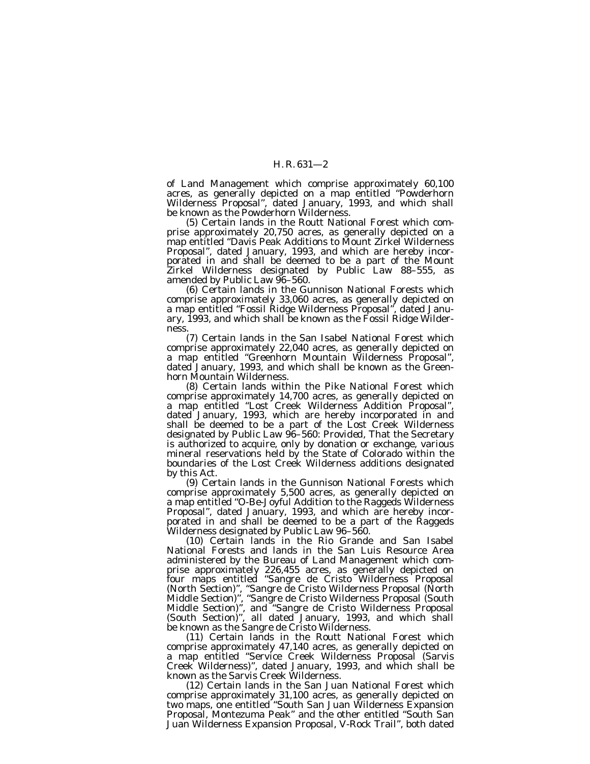of Land Management which comprise approximately 60,100 acres, as generally depicted on a map entitled ''Powderhorn Wilderness Proposal'', dated January, 1993, and which shall be known as the Powderhorn Wilderness.

(5) Certain lands in the Routt National Forest which comprise approximately 20,750 acres, as generally depicted on a map entitled ''Davis Peak Additions to Mount Zirkel Wilderness Proposal'', dated January, 1993, and which are hereby incorporated in and shall be deemed to be a part of the Mount Zirkel Wilderness designated by Public Law 88-555, as amended by Public Law 96-560.

(6) Certain lands in the Gunnison National Forests which comprise approximately 33,060 acres, as generally depicted on a map entitled ''Fossil Ridge Wilderness Proposal'', dated January, 1993, and which shall be known as the Fossil Ridge Wilderness.

(7) Certain lands in the San Isabel National Forest which comprise approximately 22,040 acres, as generally depicted on a map entitled ''Greenhorn Mountain Wilderness Proposal'', dated January, 1993, and which shall be known as the Greenhorn Mountain Wilderness.

(8) Certain lands within the Pike National Forest which comprise approximately 14,700 acres, as generally depicted on a map entitled ''Lost Creek Wilderness Addition Proposal'', dated January, 1993, which are hereby incorporated in and shall be deemed to be a part of the Lost Creek Wilderness designated by Public Law 96–560: *Provided*, That the Secretary is authorized to acquire, only by donation or exchange, various mineral reservations held by the State of Colorado within the boundaries of the Lost Creek Wilderness additions designated

by this Act. (9) Certain lands in the Gunnison National Forests which comprise approximately 5,500 acres, as generally depicted on a map entitled ''O-Be-Joyful Addition to the Raggeds Wilderness Proposal", dated January, 1993, and which are hereby incorporated in and shall be deemed to be a part of the Raggeds Wilderness designated by Public Law 96–560. (10) Certain lands in the Rio Grande and San Isabel

National Forests and lands in the San Luis Resource Area administered by the Bureau of Land Management which comprise approximately 226,455 acres, as generally depicted on four maps entitled ''Sangre de Cristo Wilderness Proposal (North Section)'', ''Sangre de Cristo Wilderness Proposal (North Middle Section)'', ''Sangre de Cristo Wilderness Proposal (South Middle Section)'', and ''Sangre de Cristo Wilderness Proposal (South Section)'', all dated January, 1993, and which shall be known as the Sangre de Cristo Wilderness.

(11) Certain lands in the Routt National Forest which comprise approximately 47,140 acres, as generally depicted on a map entitled ''Service Creek Wilderness Proposal (Sarvis Creek Wilderness)'', dated January, 1993, and which shall be known as the Sarvis Creek Wilderness.

(12) Certain lands in the San Juan National Forest which comprise approximately 31,100 acres, as generally depicted on two maps, one entitled ''South San Juan Wilderness Expansion Proposal, Montezuma Peak'' and the other entitled ''South San Juan Wilderness Expansion Proposal, V-Rock Trail'', both dated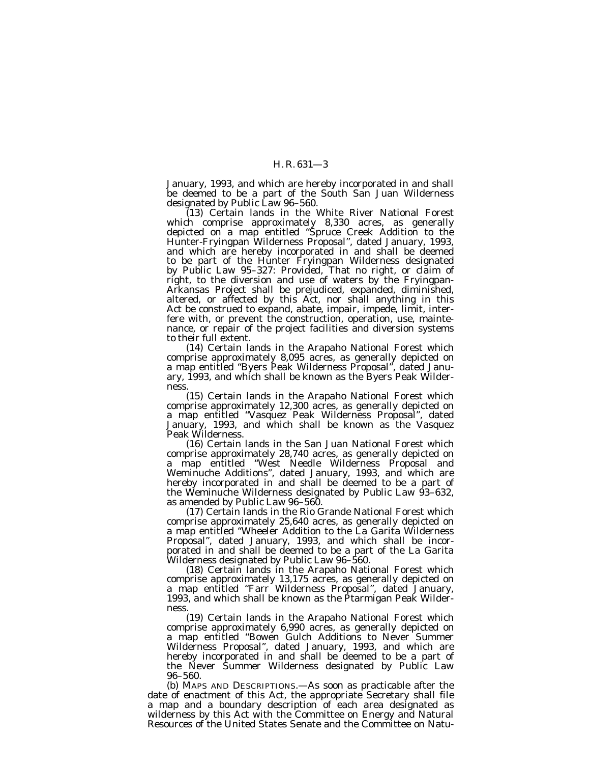January, 1993, and which are hereby incorporated in and shall be deemed to be a part of the South San Juan Wilderness designated by Public Law 96–560.

(13) Certain lands in the White River National Forest which comprise approximately 8,330 acres, as generally depicted on a map entitled ''Spruce Creek Addition to the Hunter-Fryingpan Wilderness Proposal'', dated January, 1993, and which are hereby incorporated in and shall be deemed to be part of the Hunter Fryingpan Wilderness designated by Public Law 95–327: *Provided*, That no right, or claim of right, to the diversion and use of waters by the Fryingpan-Arkansas Project shall be prejudiced, expanded, diminished, altered, or affected by this Act, nor shall anything in this Act be construed to expand, abate, impair, impede, limit, interfere with, or prevent the construction, operation, use, maintenance, or repair of the project facilities and diversion systems to their full extent.

(14) Certain lands in the Arapaho National Forest which comprise approximately 8,095 acres, as generally depicted on a map entitled ''Byers Peak Wilderness Proposal'', dated January, 1993, and which shall be known as the Byers Peak Wilderness.

(15) Certain lands in the Arapaho National Forest which comprise approximately 12,300 acres, as generally depicted on a map entitled ''Vasquez Peak Wilderness Proposal'', dated January, 1993, and which shall be known as the Vasquez Peak Wilderness.

(16) Certain lands in the San Juan National Forest which comprise approximately 28,740 acres, as generally depicted on a map entitled ''West Needle Wilderness Proposal and Weminuche Additions'', dated January, 1993, and which are hereby incorporated in and shall be deemed to be a part of the Weminuche Wilderness designated by Public Law 93-632, as amended by Public Law 96-560.

(17) Certain lands in the Rio Grande National Forest which comprise approximately 25,640 acres, as generally depicted on a map entitled ''Wheeler Addition to the La Garita Wilderness Proposal", dated January, 1993, and which shall be incorporated in and shall be deemed to be a part of the La Garita<br>Wilderness designated by Public Law 96–560. Wilderness designated by Public Law 96–560. (18) Certain lands in the Arapaho National Forest which

comprise approximately 13,175 acres, as generally depicted on a map entitled "Farr Wilderness Proposal", dated January, 1993, and which shall be known as the Ptarmigan Peak Wilderness.

(19) Certain lands in the Arapaho National Forest which comprise approximately 6,990 acres, as generally depicted on a map entitled ''Bowen Gulch Additions to Never Summer Wilderness Proposal'', dated January, 1993, and which are hereby incorporated in and shall be deemed to be a part of the Never Summer Wilderness designated by Public Law 96–560.

(b) MAPS AND DESCRIPTIONS.—As soon as practicable after the date of enactment of this Act, the appropriate Secretary shall file a map and a boundary description of each area designated as wilderness by this Act with the Committee on Energy and Natural Resources of the United States Senate and the Committee on Natu-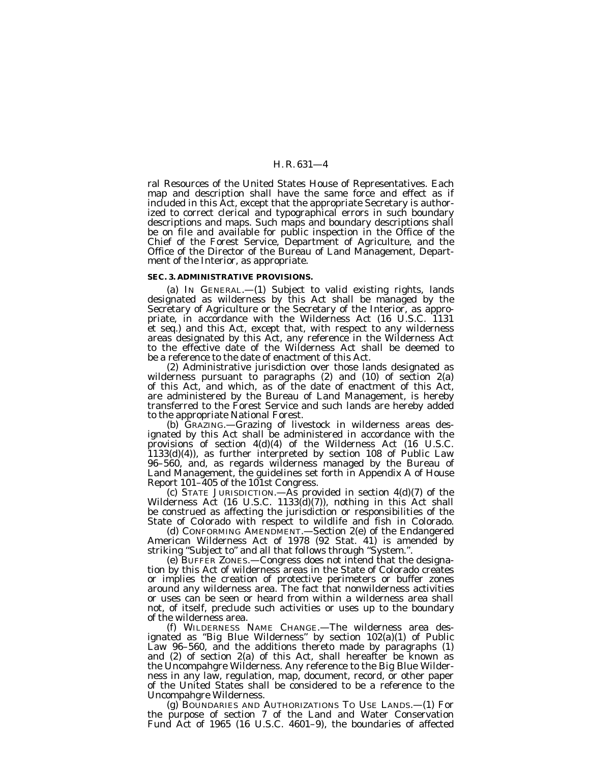ral Resources of the United States House of Representatives. Each map and description shall have the same force and effect as if included in this Act, except that the appropriate Secretary is authorized to correct clerical and typographical errors in such boundary descriptions and maps. Such maps and boundary descriptions shall be on file and available for public inspection in the Office of the Chief of the Forest Service, Department of Agriculture, and the Office of the Director of the Bureau of Land Management, Department of the Interior, as appropriate.

#### **SEC. 3. ADMINISTRATIVE PROVISIONS.**

(a) IN GENERAL.—(1) Subject to valid existing rights, lands designated as wilderness by this Act shall be managed by the Secretary of Agriculture or the Secretary of the Interior, as appropriate, in accordance with the Wilderness Act (16 U.S.C. 1131 et seq.) and this Act, except that, with respect to any wilderness areas designated by this Act, any reference in the Wilderness Act to the effective date of the Wilderness Act shall be deemed to be a reference to the date of enactment of this Act.

(2) Administrative jurisdiction over those lands designated as wilderness pursuant to paragraphs (2) and (10) of section 2(a) of this Act, and which, as of the date of enactment of this Act, are administered by the Bureau of Land Management, is hereby transferred to the Forest Service and such lands are hereby added to the appropriate National Forest.

(b) GRAZING.—Grazing of livestock in wilderness areas designated by this Act shall be administered in accordance with the provisions of section 4(d)(4) of the Wilderness Act (16 U.S.C. 1133(d)(4)), as further interpreted by section 108 of Public Law 96–560, and, as regards wilderness managed by the Bureau of Land Management, the guidelines set forth in Appendix A of House<br>Report 101–405 of the 101st Congress.

(c) STATE JURISDICTION.—As provided in section  $4(d)(7)$  of the Wilderness Act (16 U.S.C. 1133(d)(7)), nothing in this Act shall be construed as affecting the jurisdiction or responsibilities of the

State of Colorado with respect to wildlife and fish in Colorado. American Wilderness Act of 1978 (92 Stat. 41) is amended by striking "Subject to" and all that follows through "System.".

(e) BUFFER ZONES.—Congress does not intend that the designation by this Act of wilderness areas in the State of Colorado creates or implies the creation of protective perimeters or buffer zones around any wilderness area. The fact that nonwilderness activities or uses can be seen or heard from within a wilderness area shall not, of itself, preclude such activities or uses up to the boundary of the wilderness area.

(f) WILDERNESS NAME CHANGE.—The wilderness area designated as ''Big Blue Wilderness'' by section 102(a)(1) of Public Law 96–560, and the additions thereto made by paragraphs (1) and (2) of section 2(a) of this Act, shall hereafter be known as the Uncompahgre Wilderness. Any reference to the Big Blue Wilderness in any law, regulation, map, document, record, or other paper of the United States shall be considered to be a reference to the Uncompahgre Wilderness.

(g) BOUNDARIES AND AUTHORIZATIONS TO USE LANDS.—(1) For the purpose of section 7 of the Land and Water Conservation Fund Act of 1965 (16 U.S.C. 4601–9), the boundaries of affected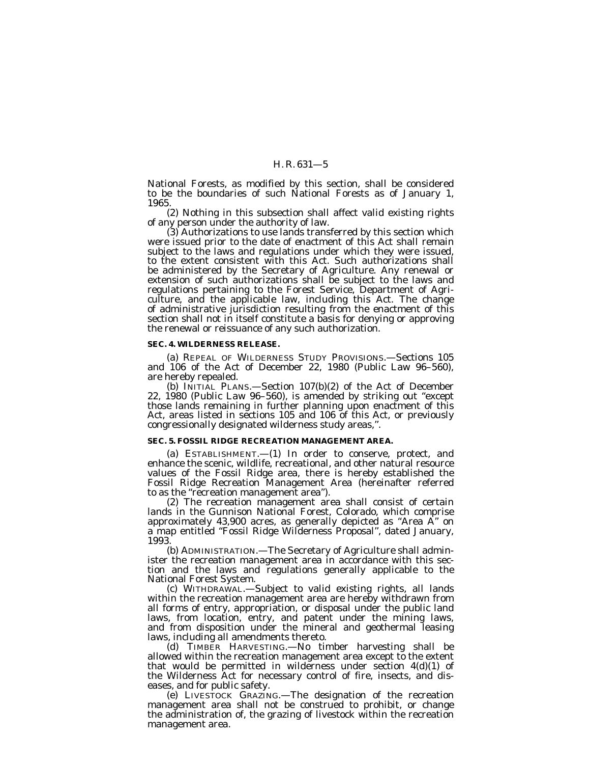National Forests, as modified by this section, shall be considered to be the boundaries of such National Forests as of January 1, 1965.

(2) Nothing in this subsection shall affect valid existing rights of any person under the authority of law.

(3) Authorizations to use lands transferred by this section which were issued prior to the date of enactment of this Act shall remain subject to the laws and regulations under which they were issued, to the extent consistent with this Act. Such authorizations shall be administered by the Secretary of Agriculture. Any renewal or extension of such authorizations shall be subject to the laws and regulations pertaining to the Forest Service, Department of Agriculture, and the applicable law, including this Act. The change of administrative jurisdiction resulting from the enactment of this section shall not in itself constitute a basis for denying or approving the renewal or reissuance of any such authorization.

#### **SEC. 4. WILDERNESS RELEASE.**

(a) REPEAL OF WILDERNESS STUDY PROVISIONS.—Sections 105 and 106 of the Act of December 22, 1980 (Public Law 96–560), are hereby repealed.

(b) INITIAL PLANS.—Section 107(b)(2) of the Act of December 22, 1980 (Public Law 96–560), is amended by striking out ''except those lands remaining in further planning upon enactment of this Act, areas listed in sections 105 and 106 of this Act, or previously congressionally designated wilderness study areas,''.

### **SEC. 5. FOSSIL RIDGE RECREATION MANAGEMENT AREA.**

(a) ESTABLISHMENT.—(1) In order to conserve, protect, and enhance the scenic, wildlife, recreational, and other natural resource values of the Fossil Ridge area, there is hereby established the Fossil Ridge Recreation Management Area (hereinafter referred to as the ''recreation management area''). (2) The recreation management area shall consist of certain

lands in the Gunnison National Forest, Colorado, which comprise approximately 43,900 acres, as generally depicted as ''Area A'' on a map entitled ''Fossil Ridge Wilderness Proposal'', dated January, 1993.

(b) ADMINISTRATION.—The Secretary of Agriculture shall administer the recreation management area in accordance with this section and the laws and regulations generally applicable to the National Forest System.

(c) WITHDRAWAL.-Subject to valid existing rights, all lands within the recreation management area are hereby withdrawn from all forms of entry, appropriation, or disposal under the public land laws, from location, entry, and patent under the mining laws, and from disposition under the mineral and geothermal leasing laws, including all amendments thereto.

(d) TIMBER HARVESTING.—No timber harvesting shall be allowed within the recreation management area except to the extent that would be permitted in wilderness under section 4(d)(1) of the Wilderness Act for necessary control of fire, insects, and diseases, and for public safety.

(e) LIVESTOCK GRAZING.—The designation of the recreation management area shall not be construed to prohibit, or change the administration of, the grazing of livestock within the recreation management area.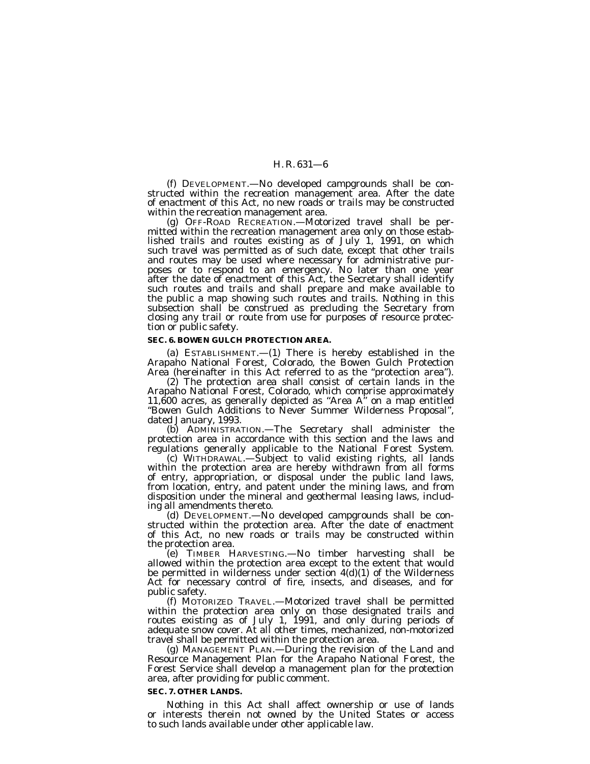(f) DEVELOPMENT.—No developed campgrounds shall be con- structed within the recreation management area. After the date of enactment of this Act, no new roads or trails may be constructed

 $(g)$  OFF-ROAD RECREATION.—Motorized travel shall be permitted within the recreation management area only on those established trails and routes existing as of July 1, 1991, on which such travel was permitted as of such date, except that other trails and routes may be used where necessary for administrative purposes or to respond to an emergency. No later than one year after the date of enactment of this Act, the Secretary shall identify such routes and trails and shall prepare and make available to the public a map showing such routes and trails. Nothing in this subsection shall be construed as precluding the Secretary from closing any trail or route from use for purposes of resource protection or public safety.

#### **SEC. 6. BOWEN GULCH PROTECTION AREA.**

(a) ESTABLISHMENT.—(1) There is hereby established in the Arapaho National Forest, Colorado, the Bowen Gulch Protection Area (hereinafter in this Act referred to as the "protection area").<br>(2) The protection area shall consist of certain lands in the

Arapaho National Forest, Colorado, which comprise approximately 11,600 acres, as generally depicted as "Area  $A$ " on a map entitled ''Bowen Gulch Additions to Never Summer Wilderness Proposal'',

dated January, 1993.<br>
(b) ADMINISTRATION.—The Secretary shall administer the protection area in accordance with this section and the laws and<br>
regulations generally applicable to the National Forest System.

regulations generally applicable to the National Forest System. (c) WITHDRAWAL.—Subject to valid existing rights, all lands within the protection area are hereby withdrawn from all forms of entry, appropriation, or disposal under the public land laws, from location, entry, and patent under the mining laws, and from disposition under the mineral and geothermal leasing laws, includ-

ing all amendments thereto.<br>
(d) DEVELOPMENT.—No developed campgrounds shall be con-<br>
structed within the protection area. After the date of enactment of this Act, no new roads or trails may be constructed within

the protection area. (e) TIMBER HARVESTING.—No timber harvesting shall be allowed within the protection area except to the extent that would be permitted in wilderness under section 4(d)(1) of the Wilderness Act for necessary control of fire, insects, and diseases, and for

public safety. (f) MOTORIZED TRAVEL.—Motorized travel shall be permitted within the protection area only on those designated trails and routes existing as of July 1, 1991, and only during periods of adequate snow cover. At all other times, mechanized, non-motorized travel shall be permitted within the protection area.

(g) MANAGEMENT PLAN.—During the revision of the Land and Resource Management Plan for the Arapaho National Forest, the Forest Service shall develop a management plan for the protection area, after providing for public comment.

#### **SEC. 7. OTHER LANDS.**

Nothing in this Act shall affect ownership or use of lands or interests therein not owned by the United States or access to such lands available under other applicable law.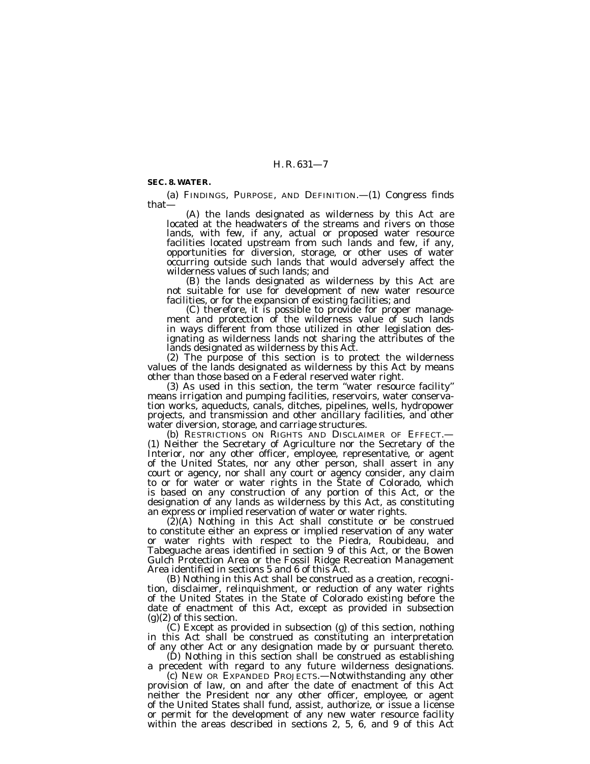#### **SEC. 8. WATER.**

(a) FINDINGS, PURPOSE, AND DEFINITION.— $(1)$  Congress finds that—<br> $(A)$  the lands designated as wilderness by this Act are

(A) the lands designated as wilderness by this Act are located at the headwaters of the streams and rivers on those lands, with few, if any, actual or proposed water resource facilities located upstream from such lands and few, if any, opportunities for diversion, storage, or other uses of water occurring outside such lands that would adversely affect the wilderness values of such lands; and<br>(B) the lands designated as wilderness by this Act are

not suitable for use for development of new water resource facilities, or for the expansion of existing facilities; and

(C) therefore, it is possible to provide for proper manage-<br>ment and protection of the wilderness value of such lands in ways different from those utilized in other legislation designating as wilderness lands not sharing the attributes of the lands designated as wilderness by this Act.

(2) The purpose of this section is to protect the wilderness values of the lands designated as wilderness by this Act by means other than those based on a Federal reserved water right.

(3) As used in this section, the term ''water resource facility'' means irrigation and pumping facilities, reservoirs, water conservation works, aqueducts, canals, ditches, pipelines, wells, hydropower projects, and transmission and other ancillary facilities, and other water diversion, storage, and carriage structures.<br>(b) RESTRICTIONS ON RIGHTS AND DISCLAIMER OF EFFECT.—

(1) Neither the Secretary of Agriculture nor the Secretary of the Interior, nor any other officer, employee, representative, or agent of the United States, nor any other person, shall assert in any court or agency, nor shall any court or agency consider, any claim to or for water or water rights in the State of Colorado, which is based on any construction of any portion of this Act, or the designation of any lands as wilderness by this Act, as constituting an express or implied reservation of water or water rights.

(2)(A) Nothing in this Act shall constitute or be construed to constitute either an express or implied reservation of any water or water rights with respect to the Piedra, Roubideau, and Tabeguache areas identified in section 9 of this Act, or the Bowen Gulch Protection Area or the Fossil Ridge Recreation Management Area identified in sections 5 and 6 of this Act.

(B) Nothing in this Act shall be construed as a creation, recognition, disclaimer, relinquishment, or reduction of any water rights of the United States in the State of Colorado existing before the date of enactment of this Act, except as provided in subsection (g)(2) of this section.<br>(C) Except as provided in subsection (g) of this section, nothing

in this Act shall be construed as constituting an interpretation of any other Act or any designation made by or pursuant thereto.

(D) Nothing in this section shall be construed as establishing a precedent with regard to any future wilderness designations.

(c) NEW OR EXPANDED PROJECTS.—Notwithstanding any other provision of law, on and after the date of enactment of this Act neither the President nor any other officer, employee, or agent of the United States shall fund, assist, authorize, or issue a license or permit for the development of any new water resource facility within the areas described in sections 2, 5, 6, and 9 of this Act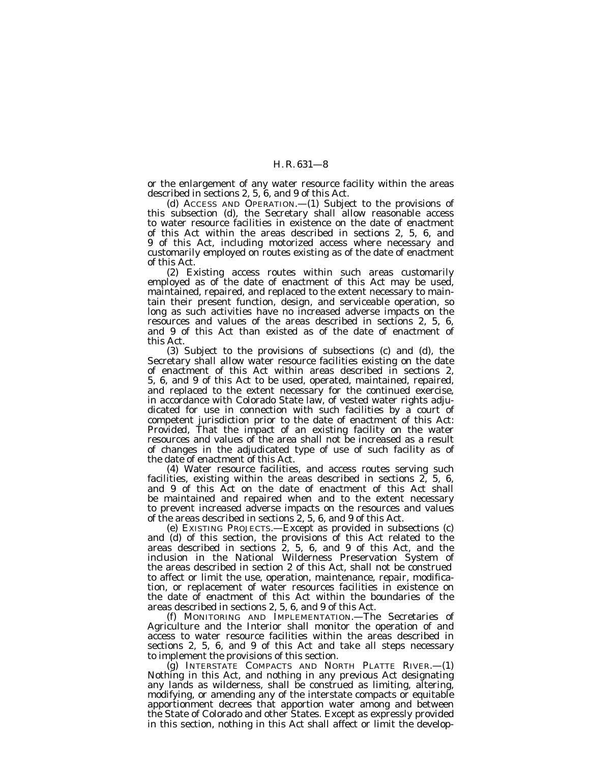or the enlargement of any water resource facility within the areas described in sections 2, 5, 6, and 9 of this Act.

(d) ACCESS AND OPERATION.—(1) Subject to the provisions of this subsection (d), the Secretary shall allow reasonable access to water resource facilities in existence on the date of enactment of this Act within the areas described in sections 2, 5, 6, and 9 of this Act, including motorized access where necessary and customarily employed on routes existing as of the date of enactment of this Act.

(2) Existing access routes within such areas customarily employed as of the date of enactment of this Act may be used, maintained, repaired, and replaced to the extent necessary to maintain their present function, design, and serviceable operation, so long as such activities have no increased adverse impacts on the resources and values of the areas described in sections 2, 5, 6, and 9 of this Act than existed as of the date of enactment of this Act.

(3) Subject to the provisions of subsections (c) and (d), the Secretary shall allow water resource facilities existing on the date of enactment of this Act within areas described in sections 2, 5, 6, and 9 of this Act to be used, operated, maintained, repaired, and replaced to the extent necessary for the continued exercise, in accordance with Colorado State law, of vested water rights adjudicated for use in connection with such facilities by  $\alpha$  court of competent jurisdiction prior to the date of enactment of this Act: *Provided*, That the impact of an existing facility on the water resources and values of the area shall not be increased as a result of changes in the adjudicated type of use of such facility as of the date of enactment of this Act.

(4) Water resource facilities, and access routes serving such facilities, existing within the areas described in sections 2, 5, 6, and 9 of this Act on the date of enactment of this Act shall be maintained and repaired when and to the extent necessary to prevent increased adverse impacts on the resources and values of the areas described in sections 2, 5, 6, and 9 of this Act.

(e) EXISTING PROJECTS.—Except as provided in subsections (c) and (d) of this section, the provisions of this Act related to the areas described in sections 2, 5, 6, and 9 of this Act, and the inclusion in the National Wilderness Preservation System of the areas described in section 2 of this Act, shall not be construed to affect or limit the use, operation, maintenance, repair, modification, or replacement of water resources facilities in existence on the date of enactment of this Act within the boundaries of the areas described in sections 2, 5, 6, and 9 of this Act.

(f) MONITORING AND IMPLEMENTATION.—The Secretaries of Agriculture and the Interior shall monitor the operation of and access to water resource facilities within the areas described in sections 2, 5, 6, and 9 of this Act and take all steps necessary to implement the provisions of this section.

(g) INTERSTATE COMPACTS AND NORTH PLATTE RIVER.—(1) Nothing in this Act, and nothing in any previous Act designating any lands as wilderness, shall be construed as limiting, altering, modifying, or amending any of the interstate compacts or equitable apportionment decrees that apportion water among and between the State of Colorado and other States. Except as expressly provided in this section, nothing in this Act shall affect or limit the develop-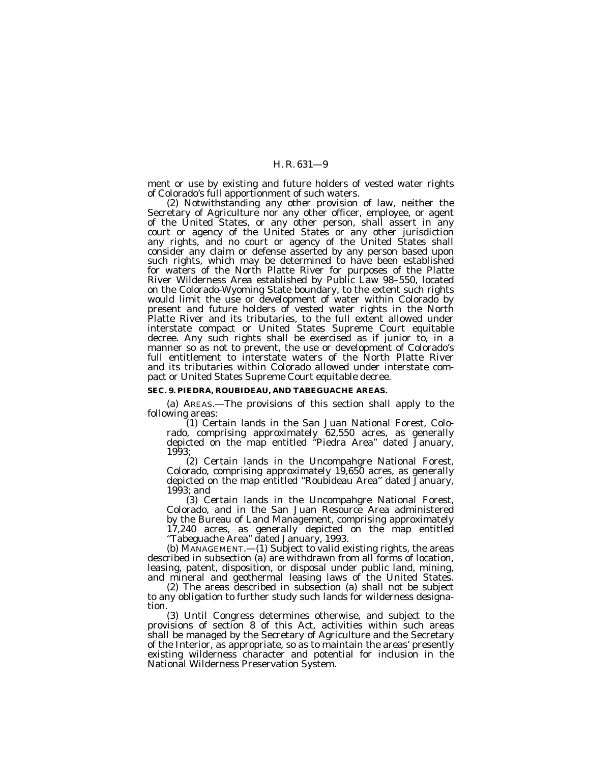ment or use by existing and future holders of vested water rights of Colorado's full apportionment of such waters.

(2) Notwithstanding any other provision of law, neither the Secretary of Agriculture nor any other officer, employee, or agent of the United States, or any other person, shall assert in any court or agency of the United States or any other jurisdiction any rights, and no court or agency of the United States shall consider any claim or defense asserted by any person based upon such rights, which may be determined to have been established for waters of the North Platte River for purposes of the Platte River Wilderness Area established by Public Law 98–550, located on the Colorado-Wyoming State boundary, to the extent such rights would limit the use or development of water within Colorado by present and future holders of vested water rights in the North Platte River and its tributaries, to the full extent allowed under interstate compact or United States Supreme Court equitable decree. Any such rights shall be exercised as if junior to, in a manner so as not to prevent, the use or development of Colorado's full entitlement to interstate waters of the North Platte River and its tributaries within Colorado allowed under interstate compact or United States Supreme Court equitable decree.

#### **SEC. 9. PIEDRA, ROUBIDEAU, AND TABEGUACHE AREAS.**

(a) AREAS.—The provisions of this section shall apply to the following areas:

(1) Certain lands in the San Juan National Forest, Colorado, comprising approximately 62,550 acres, as generally depicted on the map entitled ''Piedra Area'' dated January, 1993;

(2) Certain lands in the Uncompahgre National Forest, Colorado, comprising approximately 19,650 acres, as generally depicted on the map entitled ''Roubideau Area'' dated January, 1993; and

(3) Certain lands in the Uncompahgre National Forest, Colorado, and in the San Juan Resource Area administered by the Bureau of Land Management, comprising approximately 17,240 acres, as generally depicted on the map entitled ''Tabeguache Area'' dated January, 1993.

(b) MANAGEMENT.—(1) Subject to valid existing rights, the areas described in subsection (a) are withdrawn from all forms of location, leasing, patent, disposition, or disposal under public land, mining, and mineral and geothermal leasing laws of the United States.

(2) The areas described in subsection (a) shall not be subject to any obligation to further study such lands for wilderness designation.

(3) Until Congress determines otherwise, and subject to the provisions of section 8 of this Act, activities within such areas shall be managed by the Secretary of Agriculture and the Secretary of the Interior, as appropriate, so as to maintain the areas' presently existing wilderness character and potential for inclusion in the National Wilderness Preservation System.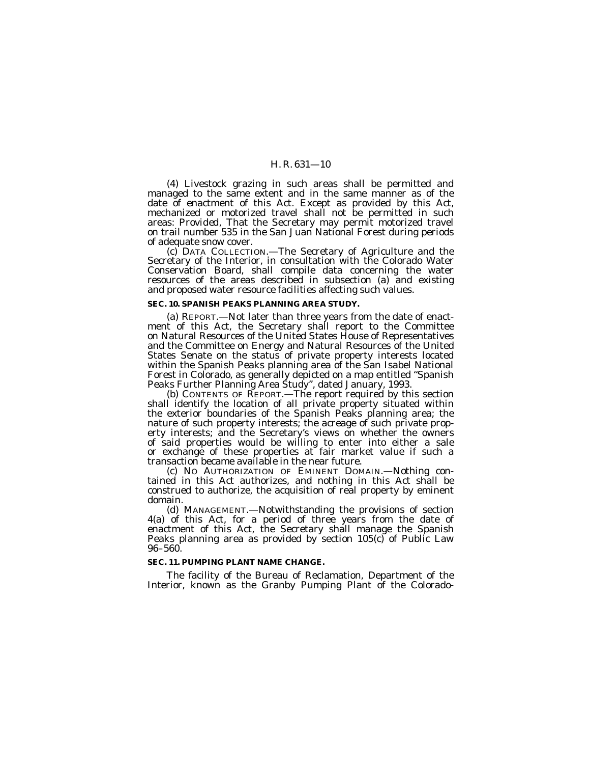(4) Livestock grazing in such areas shall be permitted and managed to the same extent and in the same manner as of the date of enactment of this Act. Except as provided by this Act, mechanized or motorized travel shall not be permitted in such areas: *Provided,* That the Secretary may permit motorized travel on trail number 535 in the San Juan National Forest during periods of adequate snow cover.

(c) DATA COLLECTION.—The Secretary of Agriculture and the Secretary of the Interior, in consultation with the Colorado Water Conservation Board, shall compile data concerning the water resources of the areas described in subsection (a) and existing and proposed water resource facilities affecting such values.

#### **SEC. 10. SPANISH PEAKS PLANNING AREA STUDY.**

(a) REPORT.—Not later than three years from the date of enactment of this Act, the Secretary shall report to the Committee on Natural Resources of the United States House of Representatives and the Committee on Energy and Natural Resources of the United States Senate on the status of private property interests located within the Spanish Peaks planning area of the San Isabel National Forest in Colorado, as generally depicted on a map entitled ''Spanish Peaks Further Planning Area Study'', dated January, 1993.

(b) CONTENTS OF REPORT.—The report required by this section shall identify the location of all private property situated within the exterior boundaries of the Spanish Peaks planning area; the nature of such property interests; the acreage of such private property interests; and the Secretary's views on whether the owners of said properties would be willing to enter into either a sale or exchange of these properties at fair market value if such a transaction became available in the near future.

(c) NO AUTHORIZATION OF EMINENT DOMAIN.—Nothing contained in this Act authorizes, and nothing in this Act shall be construed to authorize, the acquisition of real property by eminent domain.

(d) MANAGEMENT.—Notwithstanding the provisions of section 4(a) of this Act, for a period of three years from the date of enactment of this Act, the Secretary shall manage the Spanish Peaks planning area as provided by section 105(c) of Public Law 96–560.

#### **SEC. 11. PUMPING PLANT NAME CHANGE.**

The facility of the Bureau of Reclamation, Department of the Interior, known as the Granby Pumping Plant of the Colorado-